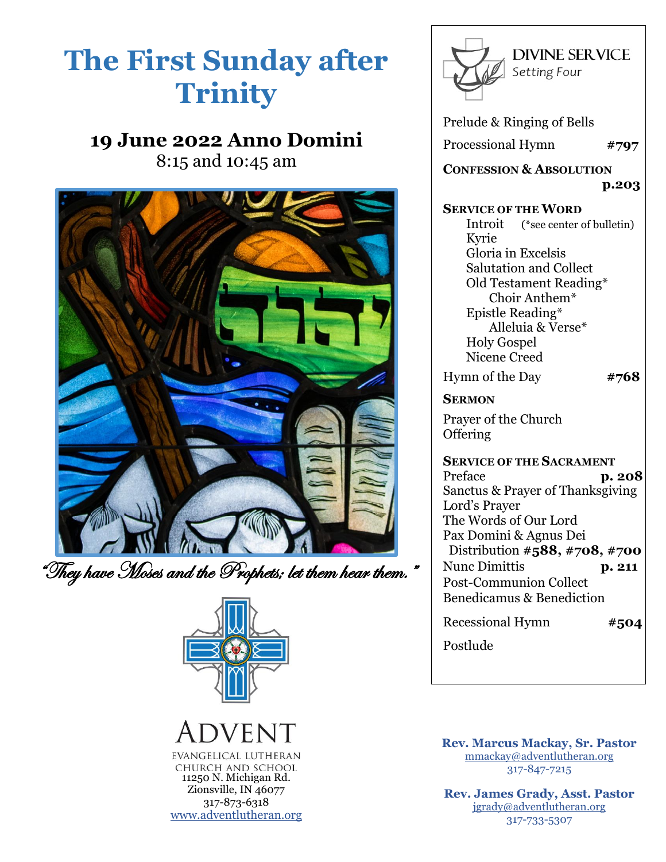# **The First Sunday after Trinity**

## **19 June 2022 Anno Domini**

8:15 and 10:45 am



"They have Moses and the Prophets; let them hear them."



### VENT EVANGELICAL LUTHERAN CHURCH AND SCHOOL 11250 N. Michigan Rd.

Zionsville, IN 46077 317-873-6318 [www.adventlutheran.org](http://www.adventlutheran.org/)



Prelude & Ringing of Bells

Processional Hymn **#797**

**CONFESSION & ABSOLUTION p.203**

### **SERVICE OF THE WORD**

 Introit (\*see center of bulletin) Kyrie Gloria in Excelsis Salutation and Collect Old Testament Reading\* Choir Anthem\* Epistle Reading\* Alleluia & Verse\* Holy Gospel Nicene Creed

Hymn of the Day **#768**

**SERMON** 

Prayer of the Church **Offering** 

**SERVICE OF THE SACRAMENT** Preface **p. 208** Sanctus & Prayer of Thanksgiving Lord's Prayer The Words of Our Lord Pax Domini & Agnus Dei Distribution **#588, #708, #700** Nunc Dimittis **p. 211** Post-Communion Collect Benedicamus & Benediction

Recessional Hymn **#504**

Postlude

**Rev. Marcus Mackay, Sr. Pastor** [mmackay@adventlutheran.org](mailto:mmackay@adventlutheran.org)  317-847-7215

**Rev. James Grady, Asst. Pastor** [jgrady@adventlutheran.org](mailto:jgrady@adventlutheran.org) 317-733-5307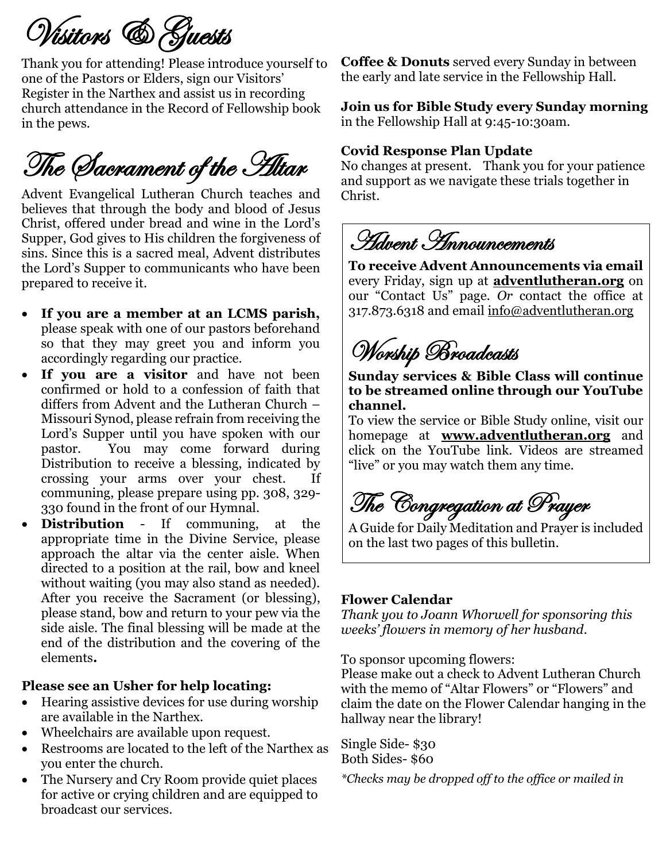Visitors & Guests

Thank you for attending! Please introduce yourself to one of the Pastors or Elders, sign our Visitors' Register in the Narthex and assist us in recording church attendance in the Record of Fellowship book in the pews.

# The Sacrament of the Altar

Advent Evangelical Lutheran Church teaches and believes that through the body and blood of Jesus Christ, offered under bread and wine in the Lord's Supper, God gives to His children the forgiveness of sins. Since this is a sacred meal, Advent distributes the Lord's Supper to communicants who have been prepared to receive it.

- **If you are a member at an LCMS parish,** please speak with one of our pastors beforehand so that they may greet you and inform you accordingly regarding our practice.
- **If you are a visitor** and have not been confirmed or hold to a confession of faith that differs from Advent and the Lutheran Church – Missouri Synod, please refrain from receiving the Lord's Supper until you have spoken with our pastor. You may come forward during Distribution to receive a blessing, indicated by crossing your arms over your chest. If communing, please prepare using pp. 308, 329- 330 found in the front of our Hymnal.
- **Distribution** If communing, at the appropriate time in the Divine Service, please approach the altar via the center aisle. When directed to a position at the rail, bow and kneel without waiting (you may also stand as needed). After you receive the Sacrament (or blessing), please stand, bow and return to your pew via the side aisle. The final blessing will be made at the end of the distribution and the covering of the elements**.**

### **Please see an Usher for help locating:**

- Hearing assistive devices for use during worship are available in the Narthex.
- Wheelchairs are available upon request.
- Restrooms are located to the left of the Narthex as you enter the church.
- The Nursery and Cry Room provide quiet places for active or crying children and are equipped to broadcast our services.

**Coffee & Donuts** served every Sunday in between the early and late service in the Fellowship Hall.

**Join us for Bible Study every Sunday morning**  in the Fellowship Hall at 9:45-10:30am.

### **Covid Response Plan Update**

No changes at present. Thank you for your patience and support as we navigate these trials together in Christ.

Advent Announcements

**To receive Advent Announcements via email** every Friday, sign up at **[adventlutheran.org](http://www.adventlutheran.org/)** on our "Contact Us" page. *Or* contact the office at 317.873.6318 and email [info@adventlutheran.org](mailto:info@adventlutheran.org)

Worship Broadcasts

**Sunday services & Bible Class will continue to be streamed online through our YouTube channel.** 

To view the service or Bible Study online, visit our homepage at **[www.adventlutheran.org](http://www.adventlutheran.org/)** and click on the YouTube link. Videos are streamed "live" or you may watch them any time.

The Congregation at Prayer

A Guide for Daily Meditation and Prayer is included on the last two pages of this bulletin.

### **Flower Calendar**

*Thank you to Joann Whorwell for sponsoring this weeks' flowers in memory of her husband.*

To sponsor upcoming flowers:

Please make out a check to Advent Lutheran Church with the memo of "Altar Flowers" or "Flowers" and claim the date on the Flower Calendar hanging in the hallway near the library!

Single Side- \$30 Both Sides- \$60

*\*Checks may be dropped off to the office or mailed in*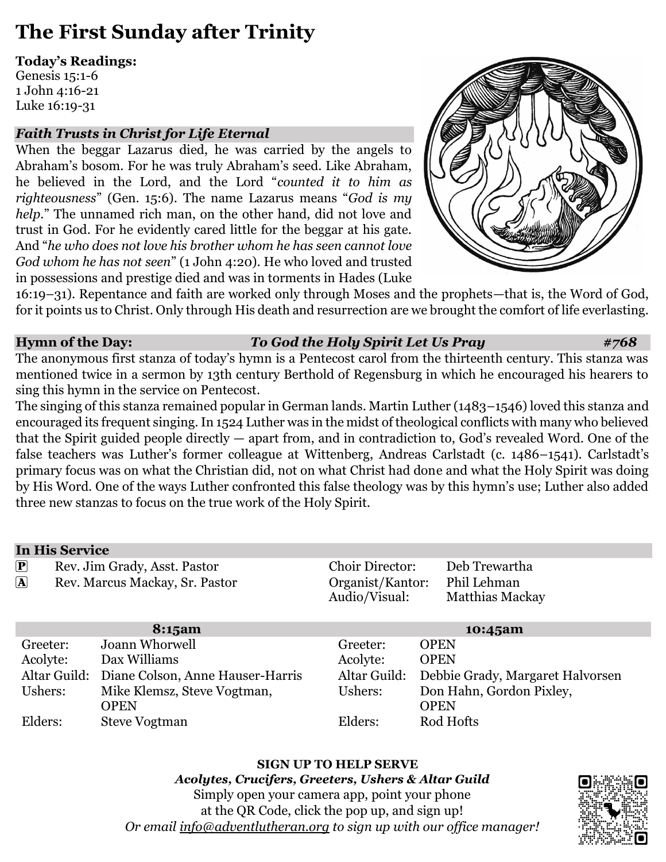# **The First Sunday after Trinity**

### **Today's Readings:**

Genesis 15:1-6 1 John 4:16-21 Luke 16:19-31

### *Faith Trusts in Christ for Life Eternal*

When the beggar Lazarus died, he was carried by the angels to Abraham's bosom. For he was truly Abraham's seed. Like Abraham, he believed in the Lord, and the Lord "*counted it to him as righteousness*" (Gen. 15:6). The name Lazarus means "*God is my help*." The unnamed rich man, on the other hand, did not love and trust in God. For he evidently cared little for the beggar at his gate. And "*he who does not love his brother whom he has seen cannot love God whom he has not seen*" (1 John 4:20). He who loved and trusted in possessions and prestige died and was in torments in Hades (Luke



16:19–31). Repentance and faith are worked only through Moses and the prophets—that is, the Word of God, for it points us to Christ. Only through His death and resurrection are we brought the comfort of life everlasting.

### **Hymn of the Day:** *To God the Holy Spirit Let Us Pray #768*

The anonymous first stanza of today's hymn is a Pentecost carol from the thirteenth century. This stanza was mentioned twice in a sermon by 13th century Berthold of Regensburg in which he encouraged his hearers to sing this hymn in the service on Pentecost.

The singing of this stanza remained popular in German lands. Martin Luther (1483–1546) loved this stanza and encouraged its frequent singing. In 1524 Luther was in the midst of theological conflicts with many who believed that the Spirit guided people directly — apart from, and in contradiction to, God's revealed Word. One of the false teachers was Luther's former colleague at Wittenberg, Andreas Carlstadt (c. 1486–1541). Carlstadt's primary focus was on what the Christian did, not on what Christ had done and what the Holy Spirit was doing by His Word. One of the ways Luther confronted this false theology was by this hymn's use; Luther also added three new stanzas to focus on the true work of the Holy Spirit.

### **In His Service**

| $\left[\mathbf{P}\right]$<br>Rev. Jim Grady, Asst. Pastor<br>$\left[\overline{\mathbf{A}}\right]$<br>Rev. Marcus Mackay, Sr. Pastor |                                               | <b>Choir Director:</b><br>Organist/Kantor:<br>Audio/Visual: | Deb Trewartha<br>Phil Lehman<br><b>Matthias Mackay</b> |
|-------------------------------------------------------------------------------------------------------------------------------------|-----------------------------------------------|-------------------------------------------------------------|--------------------------------------------------------|
|                                                                                                                                     | 8:15am                                        |                                                             | 10:45am                                                |
| Greeter:                                                                                                                            | Joann Whorwell                                | Greeter:                                                    | <b>OPEN</b>                                            |
| Acolyte:                                                                                                                            | Dax Williams                                  | Acolyte:                                                    | <b>OPEN</b>                                            |
|                                                                                                                                     | Altar Guild: Diane Colson, Anne Hauser-Harris | Altar Guild:                                                | Debbie Grady, Margaret Halvorsen                       |
| Ushers:                                                                                                                             | Mike Klemsz, Steve Vogtman,                   | Ushers:                                                     | Don Hahn, Gordon Pixley,                               |
|                                                                                                                                     | <b>OPEN</b>                                   |                                                             | <b>OPEN</b>                                            |
| Elders:                                                                                                                             | <b>Steve Vogtman</b>                          | Elders:                                                     | Rod Hofts                                              |

**SIGN UP TO HELP SERVE** *Acolytes, Crucifers, Greeters, Ushers & Altar Guild* Simply open your camera app, point your phone at the QR Code, click the pop up, and sign up! *Or email [info@adventlutheran.org](mailto:info@adventlutheran.org) to sign up with our office manager!*

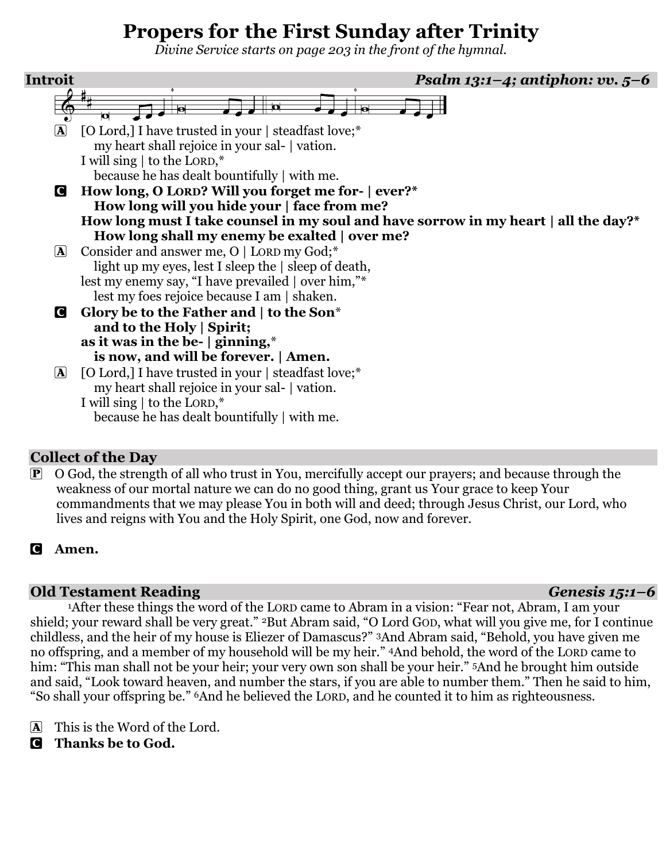# **Propers for the First Sunday after Trinity**

*Divine Service starts on page 203 in the front of the hymnal.*



### **Collect of the Day**

O God, the strength of all who trust in You, mercifully accept our prayers; and because through the weakness of our mortal nature we can do no good thing, grant us Your grace to keep Your commandments that we may please You in both will and deed; through Jesus Christ, our Lord, who lives and reigns with You and the Holy Spirit, one God, now and forever.

### C **Amen.**

### **Old Testament Reading** *Genesis 15:1–6*

<sup>1</sup>After these things the word of the LORD came to Abram in a vision: "Fear not, Abram, I am your shield; your reward shall be very great." <sup>2</sup>But Abram said, "O Lord GOD, what will you give me, for I continue childless, and the heir of my house is Eliezer of Damascus?" 3And Abram said, "Behold, you have given me no offspring, and a member of my household will be my heir." 4And behold, the word of the LORD came to him: "This man shall not be your heir; your very own son shall be your heir." 5And he brought him outside and said, "Look toward heaven, and number the stars, if you are able to number them." Then he said to him, "So shall your offspring be." 6And he believed the LORD, and he counted it to him as righteousness.

A This is the Word of the Lord.

C **Thanks be to God.**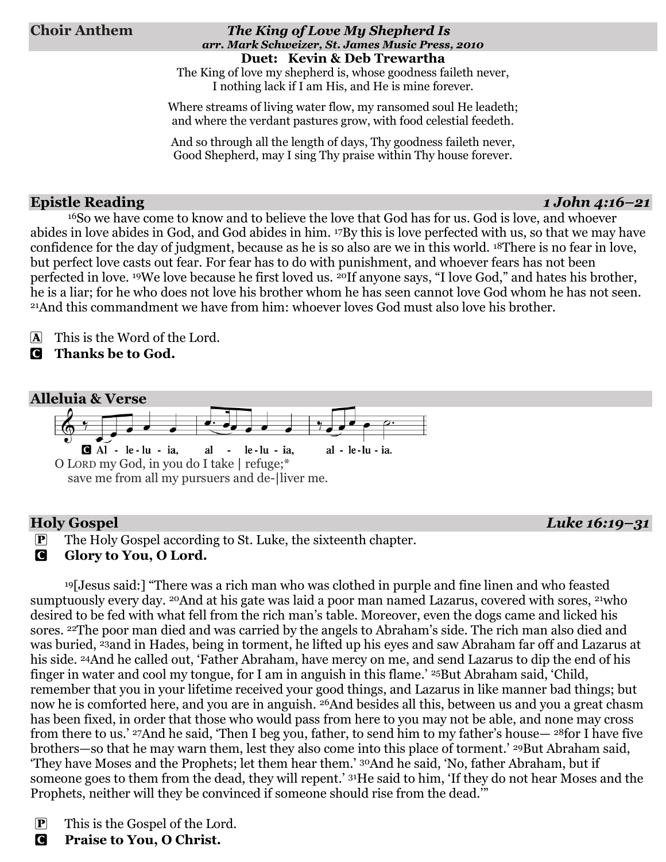### **Choir Anthem** *The King of Love My Shepherd Is arr. Mark Schweizer, St. James Music Press, 2010* **Duet: Kevin & Deb Trewartha**

The King of love my shepherd is, whose goodness faileth never, I nothing lack if I am His, and He is mine forever.

Where streams of living water flow, my ransomed soul He leadeth; and where the verdant pastures grow, with food celestial feedeth.

And so through all the length of days, Thy goodness faileth never, Good Shepherd, may I sing Thy praise within Thy house forever.

### **Epistle Reading** *1 John 4:16–21*

<sup>16</sup>So we have come to know and to believe the love that God has for us. God is love, and whoever abides in love abides in God, and God abides in him. 17By this is love perfected with us, so that we may have confidence for the day of judgment, because as he is so also are we in this world. 18There is no fear in love, but perfect love casts out fear. For fear has to do with punishment, and whoever fears has not been perfected in love. 19We love because he first loved us. 20If anyone says, "I love God," and hates his brother, he is a liar; for he who does not love his brother whom he has seen cannot love God whom he has not seen. <sup>21</sup>And this commandment we have from him: whoever loves God must also love his brother.

A This is the Word of the Lord.

C **Thanks be to God.**

### **Alleluia & Verse**

 $A1 - le - lu - ia$ , al  $le$ -lu - ia, al - le-lu - ia. O LORD my God, in you do I take | refuge;\* save me from all my pursuers and de-|liver me.

**Holy Gospel** *Luke 16:19–31*

P The Holy Gospel according to St. Luke, the sixteenth chapter.

### **G** Glory to You, O Lord.

<sup>19</sup>[Jesus said:] "There was a rich man who was clothed in purple and fine linen and who feasted sumptuously every day. <sup>20</sup>And at his gate was laid a poor man named Lazarus, covered with sores, <sup>21</sup>who desired to be fed with what fell from the rich man's table. Moreover, even the dogs came and licked his sores. 22The poor man died and was carried by the angels to Abraham's side. The rich man also died and was buried, 23and in Hades, being in torment, he lifted up his eyes and saw Abraham far off and Lazarus at his side. 24And he called out, 'Father Abraham, have mercy on me, and send Lazarus to dip the end of his finger in water and cool my tongue, for I am in anguish in this flame.' 25But Abraham said, 'Child, remember that you in your lifetime received your good things, and Lazarus in like manner bad things; but now he is comforted here, and you are in anguish. 26And besides all this, between us and you a great chasm has been fixed, in order that those who would pass from here to you may not be able, and none may cross from there to us.' 27And he said, 'Then I beg you, father, to send him to my father's house— <sup>28</sup>for I have five brothers—so that he may warn them, lest they also come into this place of torment.' 29But Abraham said, 'They have Moses and the Prophets; let them hear them.' 30And he said, 'No, father Abraham, but if someone goes to them from the dead, they will repent.' 31He said to him, 'If they do not hear Moses and the Prophets, neither will they be convinced if someone should rise from the dead.'"

- P This is the Gospel of the Lord.
- C **Praise to You, O Christ.**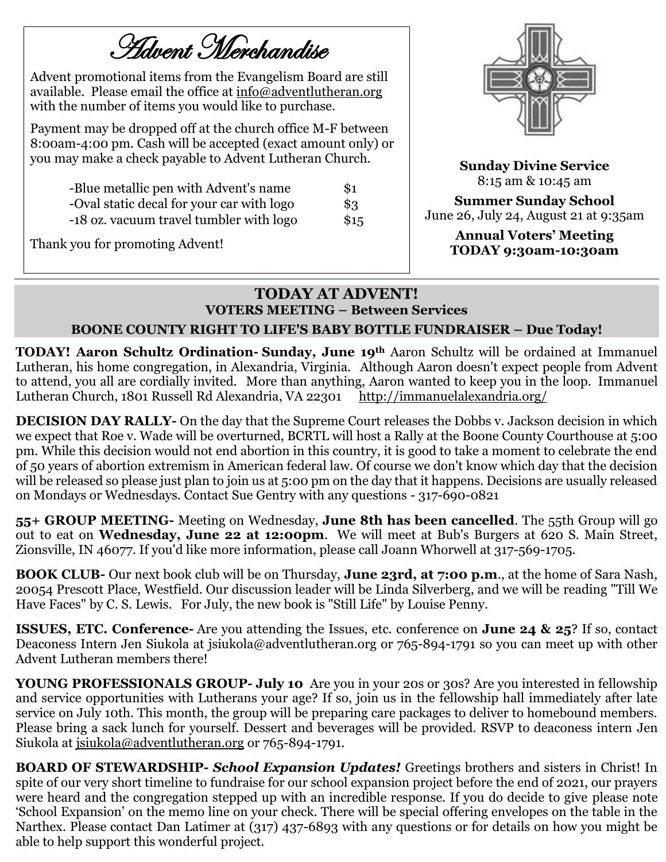Advent Merchandise

Advent promotional items from the Evangelism Board are still available. Please email the office at [info@adventlutheran.org](mailto:info@adventlutheran.org) with the number of items you would like to purchase.

Payment may be dropped off at the church office M-F between 8:00am-4:00 pm. Cash will be accepted (exact amount only) or you may make a check payable to Advent Lutheran Church.

| -Blue metallic pen with Advent's name     | \$1  |
|-------------------------------------------|------|
| -Oval static decal for your car with logo | \$3  |
| -18 oz. vacuum travel tumbler with logo   | \$15 |

Thank you for promoting Advent!



**Sunday Divine Service**  8:15 am & 10:45 am

**Summer Sunday School**  June 26, July 24, August 21 at 9:35am

> **Annual Voters' Meeting TODAY 9:30am-10:30am**

### **TODAY AT ADVENT! VOTERS MEETING – Between Services**

### **BOONE COUNTY RIGHT TO LIFE'S BABY BOTTLE FUNDRAISER – Due Today!**

**TODAY! Aaron Schultz Ordination- Sunday, June 19th** Aaron Schultz will be ordained at Immanuel Lutheran, his home congregation, in Alexandria, Virginia. Although Aaron doesn't expect people from Advent to attend, you all are cordially invited. More than anything, Aaron wanted to keep you in the loop. Immanuel Lutheran Church, 1801 Russell Rd Alexandria, VA 22301 <http://immanuelalexandria.org/>

**DECISION DAY RALLY-** On the day that the Supreme Court releases the Dobbs v. Jackson decision in which we expect that Roe v. Wade will be overturned, BCRTL will host a Rally at the Boone County Courthouse at 5:00 pm. While this decision would not end abortion in this country, it is good to take a moment to celebrate the end of 50 years of abortion extremism in American federal law. Of course we don't know which day that the decision will be released so please just plan to join us at 5:00 pm on the day that it happens. Decisions are usually released on Mondays or Wednesdays. Contact Sue Gentry with any questions - 317-690-0821

**55+ GROUP MEETING-** Meeting on Wednesday, **June 8th has been cancelled**. The 55th Group will go out to eat on **Wednesday, June 22 at 12:00pm**. We will meet at Bub's Burgers at 620 S. Main Street, Zionsville, IN 46077. If you'd like more information, please call Joann Whorwell at 317-569-1705.

**BOOK CLUB-** Our next book club will be on Thursday, **June 23rd, at 7:00 p.m**., at the home of Sara Nash, 20054 Prescott Place, Westfield. Our discussion leader will be Linda Silverberg, and we will be reading "Till We Have Faces" by C. S. Lewis. For July, the new book is "Still Life" by Louise Penny.

**ISSUES, ETC. Conference-** Are you attending the Issues, etc. conference on **June 24 & 25**? If so, contact Deaconess Intern Jen Siukola at jsiukola@adventlutheran.org or 765-894-1791 so you can meet up with other Advent Lutheran members there!

**YOUNG PROFESSIONALS GROUP- July 10** Are you in your 20s or 30s? Are you interested in fellowship and service opportunities with Lutherans your age? If so, join us in the fellowship hall immediately after late service on July 10th. This month, the group will be preparing care packages to deliver to homebound members. Please bring a sack lunch for yourself. Dessert and beverages will be provided. RSVP to deaconess intern Jen Siukola at [jsiukola@adventlutheran.org](mailto:jsiukola@adventlutheran.org?subject=Young%20Professionals%20Group) or 765-894-1791.

**BOARD OF STEWARDSHIP-** *School Expansion Updates!* Greetings brothers and sisters in Christ! In spite of our very short timeline to fundraise for our school expansion project before the end of 2021, our prayers were heard and the congregation stepped up with an incredible response. If you do decide to give please note 'School Expansion' on the memo line on your check. There will be special offering envelopes on the table in the Narthex. Please contact Dan Latimer at (317) 437-6893 with any questions or for details on how you might be able to help support this wonderful project.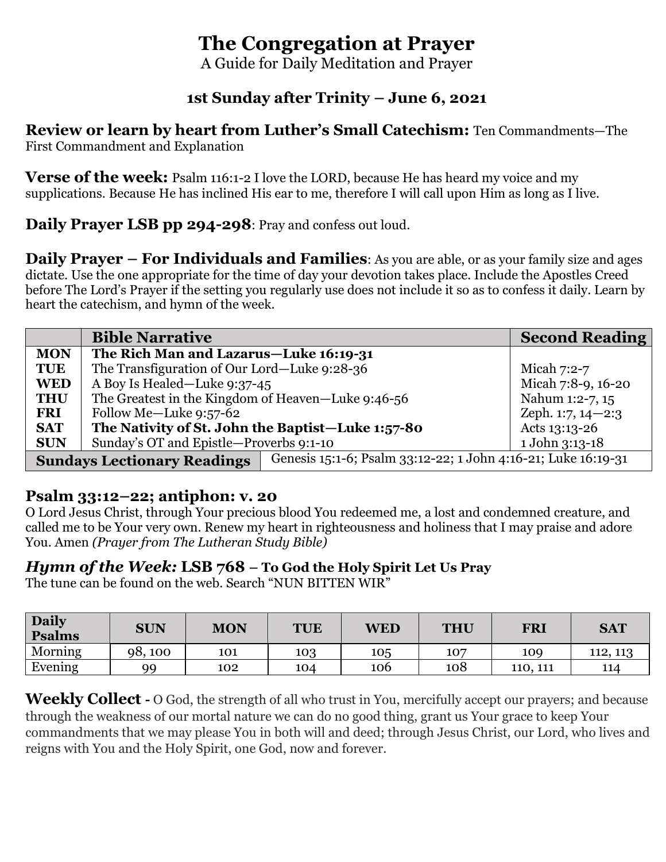# **The Congregation at Prayer**

A Guide for Daily Meditation and Prayer

### **1st Sunday after Trinity – June 6, 2021**

**Review or learn by heart from Luther's Small Catechism:** Ten Commandments—The First Commandment and Explanation

**Verse of the week:** Psalm 116:1-2 I love the LORD, because He has heard my voice and my supplications. Because He has inclined His ear to me, therefore I will call upon Him as long as I live.

**Daily Prayer LSB pp 294-298**: Pray and confess out loud.

**Daily Prayer – For Individuals and Families**: As you are able, or as your family size and ages dictate. Use the one appropriate for the time of day your devotion takes place. Include the Apostles Creed before The Lord's Prayer if the setting you regularly use does not include it so as to confess it daily. Learn by heart the catechism, and hymn of the week.

|                                    | <b>Bible Narrative</b>                             |                                                               | <b>Second Reading</b> |
|------------------------------------|----------------------------------------------------|---------------------------------------------------------------|-----------------------|
| <b>MON</b>                         | The Rich Man and Lazarus-Luke 16:19-31             |                                                               |                       |
| <b>TUE</b>                         | The Transfiguration of Our Lord-Luke 9:28-36       |                                                               | Micah $7:2-7$         |
| <b>WED</b>                         | A Boy Is Healed-Luke 9:37-45                       |                                                               | Micah 7:8-9, 16-20    |
| <b>THU</b>                         | The Greatest in the Kingdom of Heaven-Luke 9:46-56 |                                                               | Nahum 1:2-7, 15       |
| <b>FRI</b>                         | Follow Me-Luke 9:57-62                             |                                                               | Zeph. $1:7, 14-2:3$   |
| <b>SAT</b>                         | The Nativity of St. John the Baptist-Luke 1:57-80  |                                                               | Acts 13:13-26         |
| <b>SUN</b>                         | Sunday's OT and Epistle-Proverbs 9:1-10            |                                                               | 1 John 3:13-18        |
| <b>Sundays Lectionary Readings</b> |                                                    | Genesis 15:1-6; Psalm 33:12-22; 1 John 4:16-21; Luke 16:19-31 |                       |

### **Psalm 33:12–22; antiphon: v. 20**

O Lord Jesus Christ, through Your precious blood You redeemed me, a lost and condemned creature, and called me to be Your very own. Renew my heart in righteousness and holiness that I may praise and adore You. Amen *(Prayer from The Lutheran Study Bible)*

### *Hymn of the Week:* **LSB 768 – To God the Holy Spirit Let Us Pray**

The tune can be found on the web. Search "NUN BITTEN WIR"

| <b>Daily</b><br><b>Psalms</b> | <b>SUN</b> | <b>MON</b> | <b>TUE</b> | WED | <b>THU</b> | FRI      | <b>SAT</b> |
|-------------------------------|------------|------------|------------|-----|------------|----------|------------|
| Morning                       | 98,100     | 101        | 103        | 105 | 107        | 109      | 112, 113   |
| Evening                       | q۵         | 102        | 104        | 106 | 108        | 110, 111 | 114        |

**Weekly Collect -** O God, the strength of all who trust in You, mercifully accept our prayers; and because through the weakness of our mortal nature we can do no good thing, grant us Your grace to keep Your commandments that we may please You in both will and deed; through Jesus Christ, our Lord, who lives and reigns with You and the Holy Spirit, one God, now and forever.